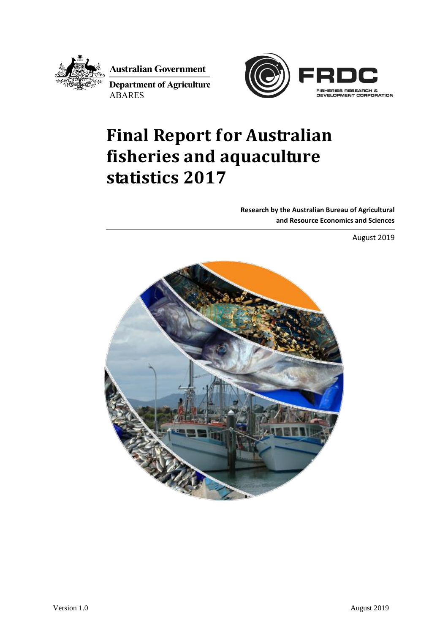

**Australian Government** 

**Department of Agriculture ABARES** 



# **Final Report for Australian fisheries and aquaculture statistics 2017**

**Research by the Australian Bureau of Agricultural and Resource Economics and Sciences**

August 2019

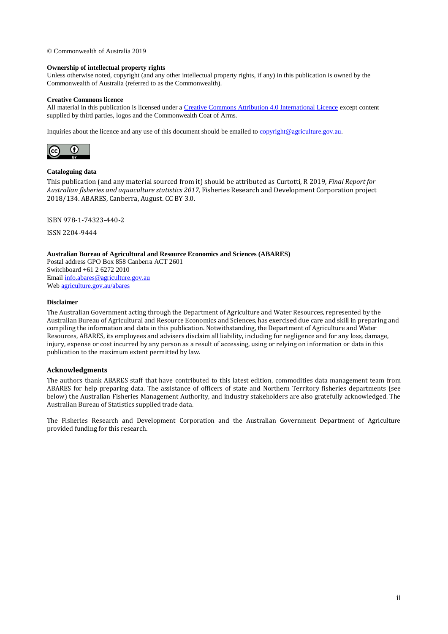© Commonwealth of Australia 2019

#### **Ownership of intellectual property rights**

Unless otherwise noted, copyright (and any other intellectual property rights, if any) in this publication is owned by the Commonwealth of Australia (referred to as the Commonwealth).

#### **Creative Commons licence**

All material in this publication is licensed under [a Creative Commons Attribution 4.0 International Licence](https://creativecommons.org/licenses/by/4.0/legalcode) except content supplied by third parties, logos and the Commonwealth Coat of Arms.

Inquiries about the licence and any use of this document should be emailed to [copyright@agriculture.gov.au.](mailto:copyright@agriculture.gov.au)



#### **Cataloguing data**

This publication (and any material sourced from it) should be attributed as Curtotti, R 2019, *Final Report for Australian fisheries and aquaculture statistics 2017,* Fisheries Research and Development Corporation project 2018/134. ABARES, Canberra, August. CC BY 3.0.

ISBN 978-1-74323-440-2

ISSN 2204-9444

**Australian Bureau of Agricultural and Resource Economics and Sciences (ABARES)** Postal address GPO Box 858 Canberra ACT 2601 Switchboard +61 2 6272 2010 Email [info.abares@agriculture.gov.au](mailto:info.abares@agriculture.gov.au) We[b agriculture.gov.au/abares](http://agriculture.gov.au/abares/)

#### **Disclaimer**

The Australian Government acting through the Department of Agriculture and Water Resources, represented by the Australian Bureau of Agricultural and Resource Economics and Sciences, has exercised due care and skill in preparing and compiling the information and data in this publication. Notwithstanding, the Department of Agriculture and Water Resources, ABARES, its employees and advisers disclaim all liability, including for negligence and for any loss, damage, injury, expense or cost incurred by any person as a result of accessing, using or relying on information or data in this publication to the maximum extent permitted by law.

#### **Acknowledgments**

The authors thank ABARES staff that have contributed to this latest edition, commodities data management team from ABARES for help preparing data. The assistance of officers of state and Northern Territory fisheries departments (see below) the Australian Fisheries Management Authority, and industry stakeholders are also gratefully acknowledged. The Australian Bureau of Statistics supplied trade data.

The Fisheries Research and Development Corporation and the Australian Government Department of Agriculture provided funding for this research.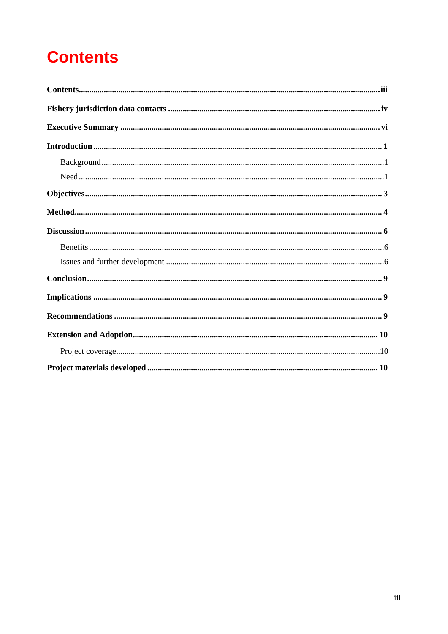# <span id="page-2-0"></span>**Contents**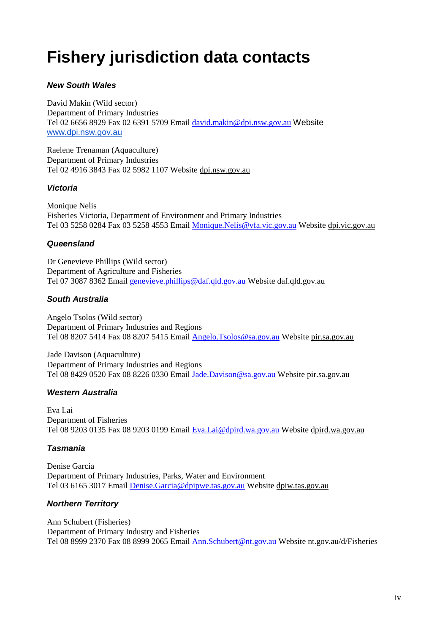## <span id="page-3-0"></span>**Fishery jurisdiction data contacts**

### *New South Wales*

David Makin (Wild sector) Department of Primary Industries Tel 02 6656 8929 Fax 02 6391 5709 Email [david.makin@dpi.nsw.gov.au](mailto:david.makin@dpi.nsw.gov.au) Website [www.dpi.nsw.gov.au](http://www.dpi.nsw.gov.au/)

Raelene Trenaman (Aquaculture) Department of Primary Industries Tel 02 4916 3843 Fax 02 5982 1107 Website [dpi.nsw.gov.au](http://dpi.nsw.gov.au/)

#### *Victoria*

Monique Nelis Fisheries Victoria, Department of Environment and Primary Industries Tel 03 5258 0284 Fax 03 5258 4553 Email [Monique.Nelis@vfa.vic.gov.au](mailto:Monique.Nelis@vfa.vic.gov.au) Website [dpi.vic.gov.au](http://www.depi.vic.gov.au/)

#### *Queensland*

Dr Genevieve Phillips (Wild sector) Department of Agriculture and Fisheries Tel 07 3087 8362 Email [genevieve.phillips@daf.qld.gov.au](mailto:genevieve.phillips@daf.qld.gov.au) Website [daf.qld.gov.au](https://www.daff.qld.gov.au/)

### *South Australia*

Angelo Tsolos (Wild sector) Department of Primary Industries and Regions Tel 08 8207 5414 Fax 08 8207 5415 Email [Angelo.Tsolos@sa.gov.au](mailto:Angelo.Tsolos@sa.gov.au) Website [pir.sa.gov.au](http://pir.sa.gov.au/)

Jade Davison (Aquaculture) Department of Primary Industries and Regions Tel 08 8429 0520 Fax 08 8226 0330 Email [Jade.Davison@sa.gov.au](mailto:Jade.Davison@sa.gov.au) Website [pir.sa.gov.au](http://pir.sa.gov.au/)

#### *Western Australia*

Eva Lai Department of Fisheries Tel 08 9203 0135 Fax 08 9203 0199 Email [Eva.Lai@dpird.wa.gov.au](mailto:Eva.Lai@dpird.wa.gov.au) Website [dpird.wa.gov.au](http://fish.wa.gov.au/Pages/Home.aspx)

#### *Tasmania*

Denise Garcia Department of Primary Industries, Parks, Water and Environment Tel 03 6165 3017 Email [Denise.Garcia@dpipwe.tas.gov.au](mailto:Denise.Garcia@dpipwe.tas.gov.au) Website [dpiw.tas.gov.au](http://dpipwe.tas.gov.au/)

### *Northern Territory*

Ann Schubert (Fisheries) Department of Primary Industry and Fisheries Tel 08 8999 2370 Fax 08 8999 2065 Email [Ann.Schubert@nt.gov.au](mailto:Ann.Schubert@nt.gov.au) Website [nt.gov.au/d/Fisheries](http://www.nt.gov.au/d/Fisheries/Content/File/indigenous/Indigenous_Fisheries_Development_Strategy.pdf)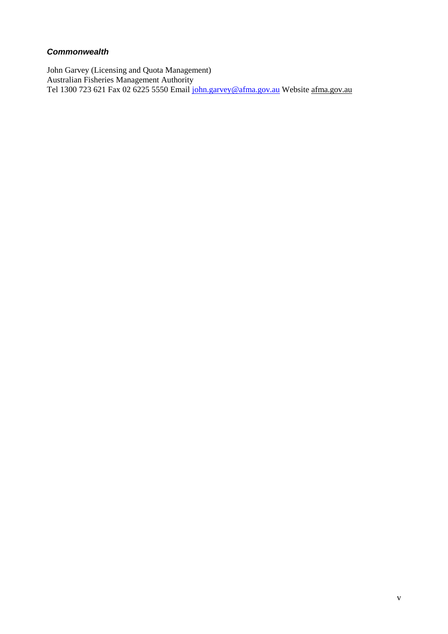#### *Commonwealth*

<span id="page-4-0"></span>John Garvey (Licensing and Quota Management) Australian Fisheries Management Authority Tel 1300 723 621 Fax 02 6225 5550 Email [john.garvey@afma.gov.au](mailto:john.garvey@afma.gov.au) Website [afma.gov.au](http://www.afma.gov.au/)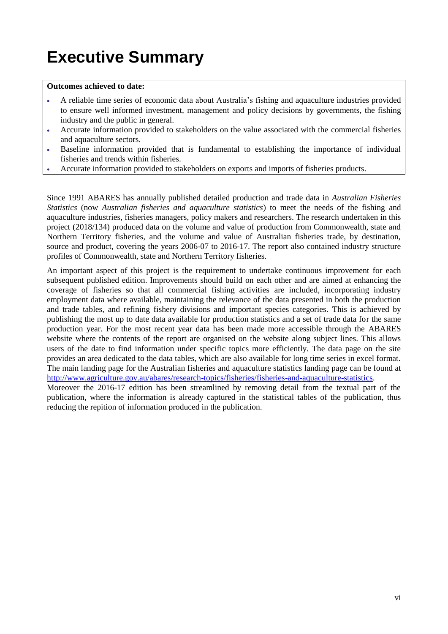# **Executive Summary**

#### **Outcomes achieved to date:**

- A reliable time series of economic data about Australia's fishing and aquaculture industries provided to ensure well informed investment, management and policy decisions by governments, the fishing industry and the public in general.
- Accurate information provided to stakeholders on the value associated with the commercial fisheries and aquaculture sectors.
- Baseline information provided that is fundamental to establishing the importance of individual fisheries and trends within fisheries.
- Accurate information provided to stakeholders on exports and imports of fisheries products.

Since 1991 ABARES has annually published detailed production and trade data in *Australian Fisheries Statistics* (now *Australian fisheries and aquaculture statistics*) to meet the needs of the fishing and aquaculture industries, fisheries managers, policy makers and researchers. The research undertaken in this project (2018/134) produced data on the volume and value of production from Commonwealth, state and Northern Territory fisheries, and the volume and value of Australian fisheries trade, by destination, source and product, covering the years 2006-07 to 2016-17. The report also contained industry structure profiles of Commonwealth, state and Northern Territory fisheries.

An important aspect of this project is the requirement to undertake continuous improvement for each subsequent published edition. Improvements should build on each other and are aimed at enhancing the coverage of fisheries so that all commercial fishing activities are included, incorporating industry employment data where available, maintaining the relevance of the data presented in both the production and trade tables, and refining fishery divisions and important species categories. This is achieved by publishing the most up to date data available for production statistics and a set of trade data for the same production year. For the most recent year data has been made more accessible through the ABARES website where the contents of the report are organised on the website along subject lines. This allows users of the date to find information under specific topics more efficiently. The data page on the site provides an area dedicated to the data tables, which are also available for long time series in excel format. The main landing page for the Australian fisheries and aquaculture statistics landing page can be found at [http://www.agriculture.gov.au/abares/research-topics/fisheries/fisheries-and-aquaculture-statistics.](http://www.agriculture.gov.au/abares/research-topics/fisheries/fisheries-and-aquaculture-statistics)

Moreover the 2016-17 edition has been streamlined by removing detail from the textual part of the publication, where the information is already captured in the statistical tables of the publication, thus reducing the repition of information produced in the publication.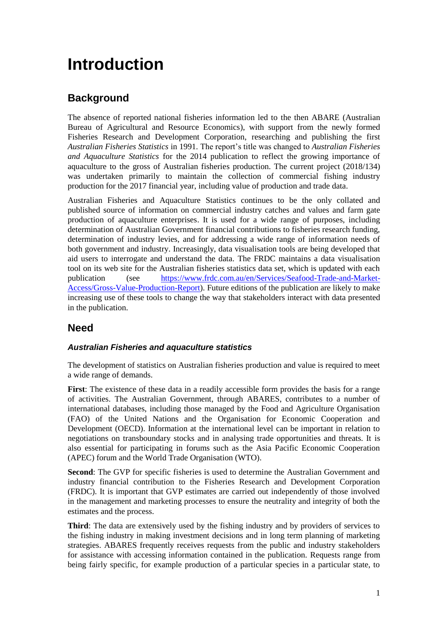## <span id="page-6-0"></span>**Introduction**

### <span id="page-6-1"></span>**Background**

The absence of reported national fisheries information led to the then ABARE (Australian Bureau of Agricultural and Resource Economics), with support from the newly formed Fisheries Research and Development Corporation, researching and publishing the first *Australian Fisheries Statistics* in 1991. The report's title was changed to *Australian Fisheries and Aquaculture Statistics* for the 2014 publication to reflect the growing importance of aquaculture to the gross of Australian fisheries production. The current project (2018/134) was undertaken primarily to maintain the collection of commercial fishing industry production for the 2017 financial year, including value of production and trade data.

Australian Fisheries and Aquaculture Statistics continues to be the only collated and published source of information on commercial industry catches and values and farm gate production of aquaculture enterprises. It is used for a wide range of purposes, including determination of Australian Government financial contributions to fisheries research funding, determination of industry levies, and for addressing a wide range of information needs of both government and industry. Increasingly, data visualisation tools are being developed that aid users to interrogate and understand the data. The FRDC maintains a data visualisation tool on its web site for the Australian fisheries statistics data set, which is updated with each publication (see [https://www.frdc.com.au/en/Services/Seafood-Trade-and-Market-](https://www.frdc.com.au/en/Services/Seafood-Trade-and-Market-Access/Gross-Value-Production-Report)[Access/Gross-Value-Production-Report\)](https://www.frdc.com.au/en/Services/Seafood-Trade-and-Market-Access/Gross-Value-Production-Report). Future editions of the publication are likely to make increasing use of these tools to change the way that stakeholders interact with data presented in the publication.

### <span id="page-6-2"></span>**Need**

### *Australian Fisheries and aquaculture statistics*

The development of statistics on Australian fisheries production and value is required to meet a wide range of demands.

**First**: The existence of these data in a readily accessible form provides the basis for a range of activities. The Australian Government, through ABARES, contributes to a number of international databases, including those managed by the Food and Agriculture Organisation (FAO) of the United Nations and the Organisation for Economic Cooperation and Development (OECD). Information at the international level can be important in relation to negotiations on transboundary stocks and in analysing trade opportunities and threats. It is also essential for participating in forums such as the Asia Pacific Economic Cooperation (APEC) forum and the World Trade Organisation (WTO).

**Second**: The GVP for specific fisheries is used to determine the Australian Government and industry financial contribution to the Fisheries Research and Development Corporation (FRDC). It is important that GVP estimates are carried out independently of those involved in the management and marketing processes to ensure the neutrality and integrity of both the estimates and the process.

**Third**: The data are extensively used by the fishing industry and by providers of services to the fishing industry in making investment decisions and in long term planning of marketing strategies. ABARES frequently receives requests from the public and industry stakeholders for assistance with accessing information contained in the publication. Requests range from being fairly specific, for example production of a particular species in a particular state, to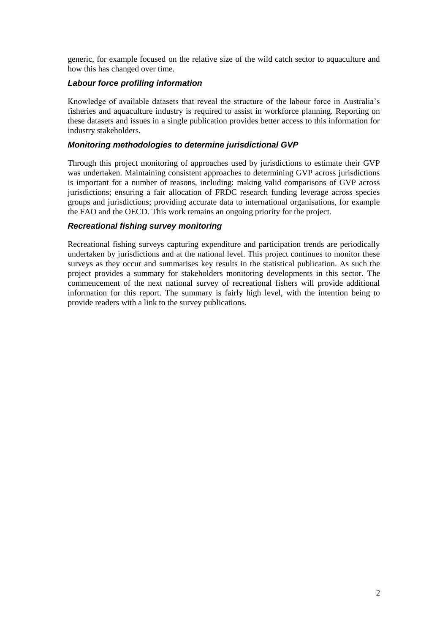generic, for example focused on the relative size of the wild catch sector to aquaculture and how this has changed over time.

#### *Labour force profiling information*

Knowledge of available datasets that reveal the structure of the labour force in Australia's fisheries and aquaculture industry is required to assist in workforce planning. Reporting on these datasets and issues in a single publication provides better access to this information for industry stakeholders.

#### *Monitoring methodologies to determine jurisdictional GVP*

Through this project monitoring of approaches used by jurisdictions to estimate their GVP was undertaken. Maintaining consistent approaches to determining GVP across jurisdictions is important for a number of reasons, including: making valid comparisons of GVP across jurisdictions; ensuring a fair allocation of FRDC research funding leverage across species groups and jurisdictions; providing accurate data to international organisations, for example the FAO and the OECD. This work remains an ongoing priority for the project.

#### *Recreational fishing survey monitoring*

Recreational fishing surveys capturing expenditure and participation trends are periodically undertaken by jurisdictions and at the national level. This project continues to monitor these surveys as they occur and summarises key results in the statistical publication. As such the project provides a summary for stakeholders monitoring developments in this sector. The commencement of the next national survey of recreational fishers will provide additional information for this report. The summary is fairly high level, with the intention being to provide readers with a link to the survey publications.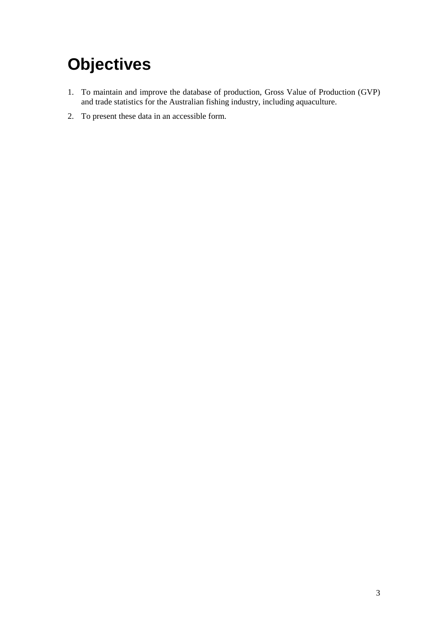# <span id="page-8-0"></span>**Objectives**

- 1. To maintain and improve the database of production, Gross Value of Production (GVP) and trade statistics for the Australian fishing industry, including aquaculture.
- 2. To present these data in an accessible form.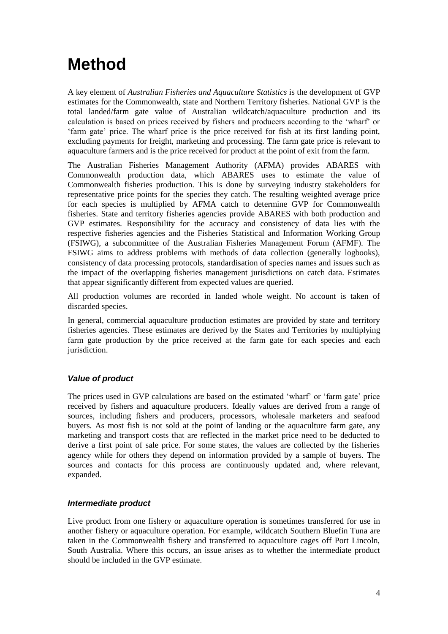## <span id="page-9-0"></span>**Method**

A key element of *Australian Fisheries and Aquaculture Statistics* is the development of GVP estimates for the Commonwealth, state and Northern Territory fisheries. National GVP is the total landed/farm gate value of Australian wildcatch/aquaculture production and its calculation is based on prices received by fishers and producers according to the 'wharf' or 'farm gate' price. The wharf price is the price received for fish at its first landing point, excluding payments for freight, marketing and processing. The farm gate price is relevant to aquaculture farmers and is the price received for product at the point of exit from the farm.

The Australian Fisheries Management Authority (AFMA) provides ABARES with Commonwealth production data, which ABARES uses to estimate the value of Commonwealth fisheries production. This is done by surveying industry stakeholders for representative price points for the species they catch. The resulting weighted average price for each species is multiplied by AFMA catch to determine GVP for Commonwealth fisheries. State and territory fisheries agencies provide ABARES with both production and GVP estimates. Responsibility for the accuracy and consistency of data lies with the respective fisheries agencies and the Fisheries Statistical and Information Working Group (FSIWG), a subcommittee of the Australian Fisheries Management Forum (AFMF). The FSIWG aims to address problems with methods of data collection (generally logbooks), consistency of data processing protocols, standardisation of species names and issues such as the impact of the overlapping fisheries management jurisdictions on catch data. Estimates that appear significantly different from expected values are queried.

All production volumes are recorded in landed whole weight. No account is taken of discarded species.

In general, commercial aquaculture production estimates are provided by state and territory fisheries agencies. These estimates are derived by the States and Territories by multiplying farm gate production by the price received at the farm gate for each species and each jurisdiction.

### *Value of product*

The prices used in GVP calculations are based on the estimated 'wharf' or 'farm gate' price received by fishers and aquaculture producers. Ideally values are derived from a range of sources, including fishers and producers, processors, wholesale marketers and seafood buyers. As most fish is not sold at the point of landing or the aquaculture farm gate, any marketing and transport costs that are reflected in the market price need to be deducted to derive a first point of sale price. For some states, the values are collected by the fisheries agency while for others they depend on information provided by a sample of buyers. The sources and contacts for this process are continuously updated and, where relevant, expanded.

#### *Intermediate product*

Live product from one fishery or aquaculture operation is sometimes transferred for use in another fishery or aquaculture operation. For example, wildcatch Southern Bluefin Tuna are taken in the Commonwealth fishery and transferred to aquaculture cages off Port Lincoln, South Australia. Where this occurs, an issue arises as to whether the intermediate product should be included in the GVP estimate.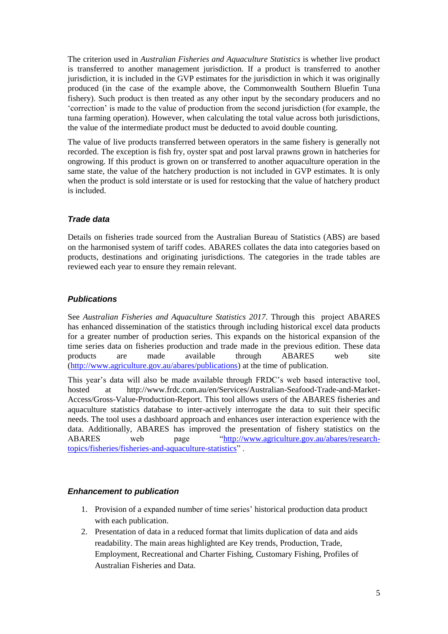The criterion used in *Australian Fisheries and Aquaculture Statistics* is whether live product is transferred to another management jurisdiction. If a product is transferred to another jurisdiction, it is included in the GVP estimates for the jurisdiction in which it was originally produced (in the case of the example above, the Commonwealth Southern Bluefin Tuna fishery). Such product is then treated as any other input by the secondary producers and no 'correction' is made to the value of production from the second jurisdiction (for example, the tuna farming operation). However, when calculating the total value across both jurisdictions, the value of the intermediate product must be deducted to avoid double counting.

The value of live products transferred between operators in the same fishery is generally not recorded. The exception is fish fry, oyster spat and post larval prawns grown in hatcheries for ongrowing. If this product is grown on or transferred to another aquaculture operation in the same state, the value of the hatchery production is not included in GVP estimates. It is only when the product is sold interstate or is used for restocking that the value of hatchery product is included.

#### *Trade data*

Details on fisheries trade sourced from the Australian Bureau of Statistics (ABS) are based on the harmonised system of tariff codes. ABARES collates the data into categories based on products, destinations and originating jurisdictions. The categories in the trade tables are reviewed each year to ensure they remain relevant.

#### *Publications*

See *Australian Fisheries and Aquaculture Statistics 2017*. Through this project ABARES has enhanced dissemination of the statistics through including historical excel data products for a greater number of production series. This expands on the historical expansion of the time series data on fisheries production and trade made in the previous edition. These data products are made available through ABARES web site [\(http://www.agriculture.gov.au/abares/publications\)](http://www.agriculture.gov.au/abares/publications) at the time of publication.

This year's data will also be made available through FRDC's web based interactive tool, hosted at http://www.frdc.com.au/en/Services/Australian-Seafood-Trade-and-Market-Access/Gross-Value-Production-Report. This tool allows users of the ABARES fisheries and aquaculture statistics database to inter-actively interrogate the data to suit their specific needs. The tool uses a dashboard approach and enhances user interaction experience with the data. Additionally, ABARES has improved the presentation of fishery statistics on the ABARES web page ["http://www.agriculture.gov.au/abares/research](http://www.agriculture.gov.au/abares/research-topics/fisheries/fisheries-and-aquaculture-statistics)[topics/fisheries/fisheries-and-aquaculture-statistics"](http://www.agriculture.gov.au/abares/research-topics/fisheries/fisheries-and-aquaculture-statistics) .

#### *Enhancement to publication*

- 1. Provision of a expanded number of time series' historical production data product with each publication.
- 2. Presentation of data in a reduced format that limits duplication of data and aids readability. The main areas highlighted are Key trends, Production, Trade, Employment, Recreational and Charter Fishing, Customary Fishing, Profiles of Australian Fisheries and Data.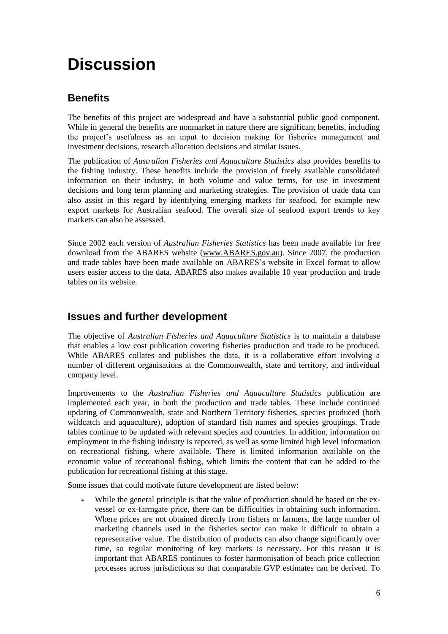## <span id="page-11-0"></span>**Discussion**

### <span id="page-11-1"></span>**Benefits**

The benefits of this project are widespread and have a substantial public good component. While in general the benefits are nonmarket in nature there are significant benefits, including the project's usefulness as an input to decision making for fisheries management and investment decisions, research allocation decisions and similar issues.

The publication of *Australian Fisheries and Aquaculture Statistics* also provides benefits to the fishing industry. These benefits include the provision of freely available consolidated information on their industry, in both volume and value terms, for use in investment decisions and long term planning and marketing strategies. The provision of trade data can also assist in this regard by identifying emerging markets for seafood, for example new export markets for Australian seafood. The overall size of seafood export trends to key markets can also be assessed.

Since 2002 each version of *Australian Fisheries Statistics* has been made available for free download from the ABARES website [\(www.ABARES.gov.au\)](http://www.abare.gov.au/). Since 2007, the production and trade tables have been made available on ABARES's website in Excel format to allow users easier access to the data. ABARES also makes available 10 year production and trade tables on its website.

### <span id="page-11-2"></span>**Issues and further development**

The objective of *Australian Fisheries and Aquaculture Statistics* is to maintain a database that enables a low cost publication covering fisheries production and trade to be produced. While ABARES collates and publishes the data, it is a collaborative effort involving a number of different organisations at the Commonwealth, state and territory, and individual company level.

Improvements to the *Australian Fisheries and Aquaculture Statistics* publication are implemented each year, in both the production and trade tables. These include continued updating of Commonwealth, state and Northern Territory fisheries, species produced (both wildcatch and aquaculture), adoption of standard fish names and species groupings. Trade tables continue to be updated with relevant species and countries. In addition, information on employment in the fishing industry is reported, as well as some limited high level information on recreational fishing, where available. There is limited information available on the economic value of recreational fishing, which limits the content that can be added to the publication for recreational fishing at this stage.

Some issues that could motivate future development are listed below:

 While the general principle is that the value of production should be based on the exvessel or ex-farmgate price, there can be difficulties in obtaining such information. Where prices are not obtained directly from fishers or farmers, the large number of marketing channels used in the fisheries sector can make it difficult to obtain a representative value. The distribution of products can also change significantly over time, so regular monitoring of key markets is necessary. For this reason it is important that ABARES continues to foster harmonisation of beach price collection processes across jurisdictions so that comparable GVP estimates can be derived. To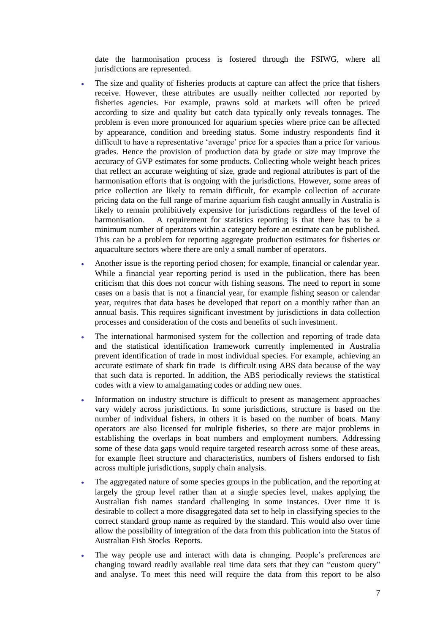date the harmonisation process is fostered through the FSIWG, where all jurisdictions are represented.

- The size and quality of fisheries products at capture can affect the price that fishers receive. However, these attributes are usually neither collected nor reported by fisheries agencies. For example, prawns sold at markets will often be priced according to size and quality but catch data typically only reveals tonnages. The problem is even more pronounced for aquarium species where price can be affected by appearance, condition and breeding status. Some industry respondents find it difficult to have a representative 'average' price for a species than a price for various grades. Hence the provision of production data by grade or size may improve the accuracy of GVP estimates for some products. Collecting whole weight beach prices that reflect an accurate weighting of size, grade and regional attributes is part of the harmonisation efforts that is ongoing with the jurisdictions. However, some areas of price collection are likely to remain difficult, for example collection of accurate pricing data on the full range of marine aquarium fish caught annually in Australia is likely to remain prohibitively expensive for jurisdictions regardless of the level of harmonisation. A requirement for statistics reporting is that there has to be a minimum number of operators within a category before an estimate can be published. This can be a problem for reporting aggregate production estimates for fisheries or aquaculture sectors where there are only a small number of operators.
- Another issue is the reporting period chosen; for example, financial or calendar year. While a financial year reporting period is used in the publication, there has been criticism that this does not concur with fishing seasons. The need to report in some cases on a basis that is not a financial year, for example fishing season or calendar year, requires that data bases be developed that report on a monthly rather than an annual basis. This requires significant investment by jurisdictions in data collection processes and consideration of the costs and benefits of such investment.
- The international harmonised system for the collection and reporting of trade data and the statistical identification framework currently implemented in Australia prevent identification of trade in most individual species. For example, achieving an accurate estimate of shark fin trade is difficult using ABS data because of the way that such data is reported. In addition, the ABS periodically reviews the statistical codes with a view to amalgamating codes or adding new ones.
- Information on industry structure is difficult to present as management approaches vary widely across jurisdictions. In some jurisdictions, structure is based on the number of individual fishers, in others it is based on the number of boats. Many operators are also licensed for multiple fisheries, so there are major problems in establishing the overlaps in boat numbers and employment numbers. Addressing some of these data gaps would require targeted research across some of these areas, for example fleet structure and characteristics, numbers of fishers endorsed to fish across multiple jurisdictions, supply chain analysis.
- The aggregated nature of some species groups in the publication, and the reporting at largely the group level rather than at a single species level, makes applying the Australian fish names standard challenging in some instances. Over time it is desirable to collect a more disaggregated data set to help in classifying species to the correct standard group name as required by the standard. This would also over time allow the possibility of integration of the data from this publication into the Status of Australian Fish Stocks Reports.
- The way people use and interact with data is changing. People's preferences are changing toward readily available real time data sets that they can "custom query" and analyse. To meet this need will require the data from this report to be also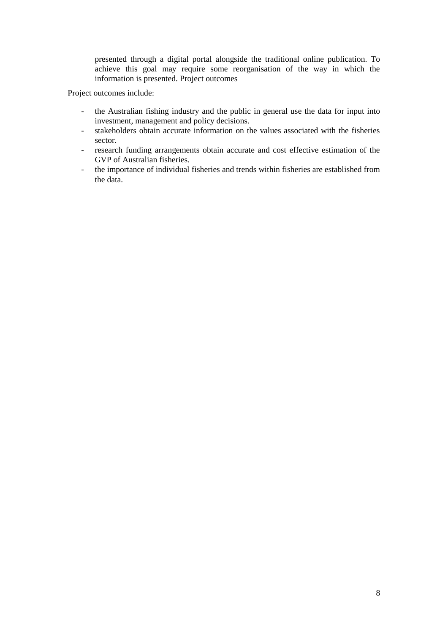presented through a digital portal alongside the traditional online publication. To achieve this goal may require some reorganisation of the way in which the information is presented. Project outcomes

Project outcomes include:

- the Australian fishing industry and the public in general use the data for input into investment, management and policy decisions.
- stakeholders obtain accurate information on the values associated with the fisheries sector.
- research funding arrangements obtain accurate and cost effective estimation of the GVP of Australian fisheries.
- the importance of individual fisheries and trends within fisheries are established from the data.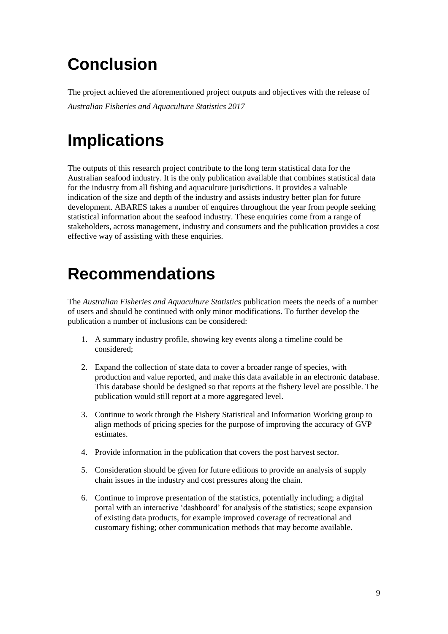# <span id="page-14-0"></span>**Conclusion**

The project achieved the aforementioned project outputs and objectives with the release of *Australian Fisheries and Aquaculture Statistics 2017*

## <span id="page-14-1"></span>**Implications**

The outputs of this research project contribute to the long term statistical data for the Australian seafood industry. It is the only publication available that combines statistical data for the industry from all fishing and aquaculture jurisdictions. It provides a valuable indication of the size and depth of the industry and assists industry better plan for future development. ABARES takes a number of enquires throughout the year from people seeking statistical information about the seafood industry. These enquiries come from a range of stakeholders, across management, industry and consumers and the publication provides a cost effective way of assisting with these enquiries.

### <span id="page-14-2"></span>**Recommendations**

The *Australian Fisheries and Aquaculture Statistics* publication meets the needs of a number of users and should be continued with only minor modifications. To further develop the publication a number of inclusions can be considered:

- 1. A summary industry profile, showing key events along a timeline could be considered;
- 2. Expand the collection of state data to cover a broader range of species, with production and value reported, and make this data available in an electronic database. This database should be designed so that reports at the fishery level are possible. The publication would still report at a more aggregated level.
- 3. Continue to work through the Fishery Statistical and Information Working group to align methods of pricing species for the purpose of improving the accuracy of GVP estimates.
- 4. Provide information in the publication that covers the post harvest sector.
- 5. Consideration should be given for future editions to provide an analysis of supply chain issues in the industry and cost pressures along the chain.
- 6. Continue to improve presentation of the statistics, potentially including; a digital portal with an interactive 'dashboard' for analysis of the statistics; scope expansion of existing data products, for example improved coverage of recreational and customary fishing; other communication methods that may become available.